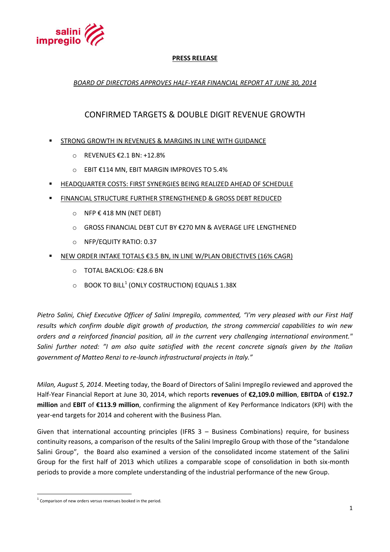

### **PRESS RELEASE**

### *BOARD OF DIRECTORS APPROVES HALF-YEAR FINANCIAL REPORT AT JUNE 30, 2014*

# CONFIRMED TARGETS & DOUBLE DIGIT REVENUE GROWTH

- STRONG GROWTH IN REVENUES & MARGINS IN LINE WITH GUIDANCE
	- o REVENUES €2.1 BN: +12.8%
	- o EBIT €114 MN, EBIT MARGIN IMPROVES TO 5.4%
- HEADQUARTER COSTS: FIRST SYNERGIES BEING REALIZED AHEAD OF SCHEDULE
- FINANCIAL STRUCTURE FURTHER STRENGTHENED & GROSS DEBT REDUCED
	- $\circ$  NFP  $\epsilon$  418 MN (NET DEBT)
	- o GROSS FINANCIAL DEBT CUT BY €270 MN & AVERAGE LIFE LENGTHENED
	- o NFP/EQUITY RATIO: 0.37
- NEW ORDER INTAKE TOTALS €3.5 BN, IN LINE W/PLAN OBJECTIVES (16% CAGR)
	- o TOTAL BACKLOG: €28.6 BN
	- $\circ$  BOOK TO BILL<sup>1</sup> (ONLY COSTRUCTION) EQUALS 1.38X

*Pietro Salini, Chief Executive Officer of Salini Impregilo, commented, "I'm very pleased with our First Half results which confirm double digit growth of production, the strong commercial capabilities to win new orders and a reinforced financial position, all in the current very challenging international environment." Salini further noted: "I am also quite satisfied with the recent concrete signals given by the Italian government of Matteo Renzi to re-launch infrastructural projects in Italy."*

*Milan, August 5, 2014*. Meeting today, the Board of Directors of Salini Impregilo reviewed and approved the Half-Year Financial Report at June 30, 2014, which reports **revenues** of **€2,109.0 million**, **EBITDA** of **€192.7 million** and **EBIT** of **€113.9 million**, confirming the alignment of Key Performance Indicators (KPI) with the year-end targets for 2014 and coherent with the Business Plan.

Given that international accounting principles (IFRS 3 – Business Combinations) require, for business continuity reasons, a comparison of the results of the Salini Impregilo Group with those of the "standalone Salini Group", the Board also examined a version of the consolidated income statement of the Salini Group for the first half of 2013 which utilizes a comparable scope of consolidation in both six-month periods to provide a more complete understanding of the industrial performance of the new Group.

1

 $1$  Comparison of new orders versus revenues booked in the period.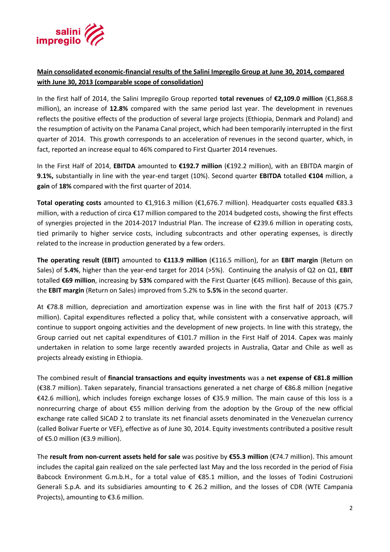

## **Main consolidated economic-financial results of the Salini Impregilo Group at June 30, 2014, compared with June 30, 2013 (comparable scope of consolidation)**

In the first half of 2014, the Salini Impregilo Group reported **total revenues** of **€2,109.0 million** (€1,868.8 million), an increase of **12.8%** compared with the same period last year. The development in revenues reflects the positive effects of the production of several large projects (Ethiopia, Denmark and Poland) and the resumption of activity on the Panama Canal project, which had been temporarily interrupted in the first quarter of 2014. This growth corresponds to an acceleration of revenues in the second quarter, which, in fact, reported an increase equal to 46% compared to First Quarter 2014 revenues.

In the First Half of 2014, **EBITDA** amounted to **€192.7 million** (€192.2 million), with an EBITDA margin of **9.1%,** substantially in line with the year-end target (10%). Second quarter **EBITDA** totalled **€104** million, a **gain** of **18%** compared with the first quarter of 2014.

**Total operating costs** amounted to €1,916.3 million (€1,676.7 million). Headquarter costs equalled €83.3 million, with a reduction of circa €17 million compared to the 2014 budgeted costs, showing the first effects of synergies projected in the 2014-2017 Industrial Plan. The increase of €239.6 million in operating costs, tied primarily to higher service costs, including subcontracts and other operating expenses, is directly related to the increase in production generated by a few orders.

**The operating result (EBIT)** amounted to **€113.9 million** (€116.5 million), for an **EBIT margin** (Return on Sales) of **5.4%**, higher than the year-end target for 2014 (>5%). Continuing the analysis of Q2 on Q1, **EBIT** totalled **€69 million**, increasing by **53%** compared with the First Quarter (€45 million). Because of this gain, the **EBIT margin** (Return on Sales) improved from 5.2% to **5.5%** in the second quarter.

At €78.8 million, depreciation and amortization expense was in line with the first half of 2013 (€75.7 million). Capital expenditures reflected a policy that, while consistent with a conservative approach, will continue to support ongoing activities and the development of new projects. In line with this strategy, the Group carried out net capital expenditures of  $\epsilon$ 101.7 million in the First Half of 2014. Capex was mainly undertaken in relation to some large recently awarded projects in Australia, Qatar and Chile as well as projects already existing in Ethiopia.

The combined result of **financial transactions and equity investments** was a **net expense of €81.8 million** (€38.7 million). Taken separately, financial transactions generated a net charge of €86.8 million (negative €42.6 million), which includes foreign exchange losses of €35.9 million. The main cause of this loss is a nonrecurring charge of about €55 million deriving from the adoption by the Group of the new official exchange rate called SICAD 2 to translate its net financial assets denominated in the Venezuelan currency (called Bolivar Fuerte or VEF), effective as of June 30, 2014. Equity investments contributed a positive result of €5.0 million (€3.9 million).

The **result from non-current assets held for sale** was positive by **€55.3 million** (€74.7 million). This amount includes the capital gain realized on the sale perfected last May and the loss recorded in the period of Fisia Babcock Environment G.m.b.H., for a total value of €85.1 million, and the losses of Todini Costruzioni Generali S.p.A. and its subsidiaries amounting to € 26.2 million, and the losses of CDR (WTE Campania Projects), amounting to €3.6 million.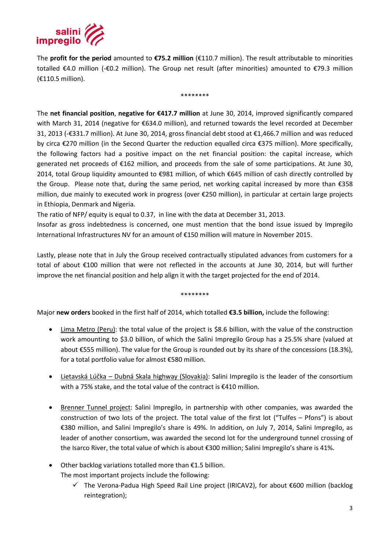

The **profit for the period** amounted to **€75.2 million** (€110.7 million). The result attributable to minorities totalled €4.0 million (-€0.2 million). The Group net result (after minorities) amounted to €79.3 million (€110.5 million).

\*\*\*\*\*\*\*\*

The **net financial position**, **negative for €417.7 million** at June 30, 2014, improved significantly compared with March 31, 2014 (negative for €634.0 million), and returned towards the level recorded at December 31, 2013 (-€331.7 million). At June 30, 2014, gross financial debt stood at €1,466.7 million and was reduced by circa €270 million (in the Second Quarter the reduction equalled circa €375 million). More specifically, the following factors had a positive impact on the net financial position: the capital increase, which generated net proceeds of €162 million, and proceeds from the sale of some participations. At June 30, 2014, total Group liquidity amounted to €981 million, of which €645 million of cash directly controlled by the Group. Please note that, during the same period, net working capital increased by more than €358 million, due mainly to executed work in progress (over €250 million), in particular at certain large projects in Ethiopia, Denmark and Nigeria.

The ratio of NFP/ equity is equal to 0.37, in line with the data at December 31, 2013.

Insofar as gross indebtedness is concerned, one must mention that the bond issue issued by Impregilo International Infrastructures NV for an amount of €150 million will mature in November 2015.

Lastly, please note that in July the Group received contractually stipulated advances from customers for a total of about €100 million that were not reflected in the accounts at June 30, 2014, but will further improve the net financial position and help align it with the target projected for the end of 2014.

\*\*\*\*\*\*\*\*

Major **new orders** booked in the first half of 2014, which totalled **€3.5 billion,** include the following:

- Lima Metro (Peru): the total value of the project is \$8.6 billion, with the value of the construction work amounting to \$3.0 billion, of which the Salini Impregilo Group has a 25.5% share (valued at about €555 million). The value for the Group is rounded out by its share of the concessions (18.3%), for a total portfolio value for almost €580 million.
- Lietavská Lúčka Dubná Skala highway (Slovakia): Salini Impregilo is the leader of the consortium with a 75% stake, and the total value of the contract is €410 million.
- Brenner Tunnel project: Salini Impregilo, in partnership with other companies, was awarded the construction of two lots of the project. The total value of the first lot ("Tulfes – Pfons") is about €380 million, and Salini Impregilo's share is 49%. In addition, on July 7, 2014, Salini Impregilo, as leader of another consortium, was awarded the second lot for the underground tunnel crossing of the Isarco River, the total value of which is about €300 million; Salini Impregilo's share is 41%.
- Other backlog variations totalled more than €1.5 billion. The most important projects include the following:
	- $\checkmark$  The Verona-Padua High Speed Rail Line project (IRICAV2), for about  $\epsilon$ 600 million (backlog reintegration);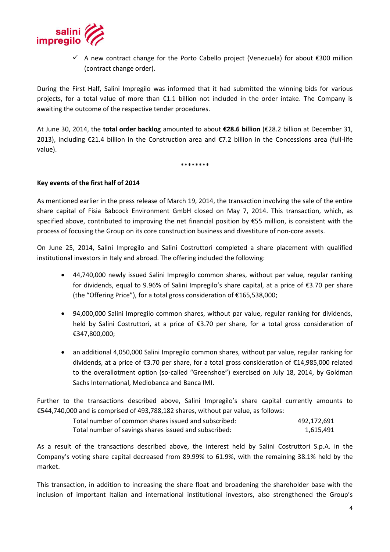

 $\checkmark$  A new contract change for the Porto Cabello project (Venezuela) for about  $\epsilon$ 300 million (contract change order).

During the First Half, Salini Impregilo was informed that it had submitted the winning bids for various projects, for a total value of more than  $\epsilon$ 1.1 billion not included in the order intake. The Company is awaiting the outcome of the respective tender procedures.

At June 30, 2014, the **total order backlog** amounted to about **€28.6 billion** (€28.2 billion at December 31, 2013), including €21.4 billion in the Construction area and €7.2 billion in the Concessions area (full-life value).

\*\*\*\*\*\*\*\*

#### **Key events of the first half of 2014**

As mentioned earlier in the press release of March 19, 2014, the transaction involving the sale of the entire share capital of Fisia Babcock Environment GmbH closed on May 7, 2014. This transaction, which, as specified above, contributed to improving the net financial position by €55 million, is consistent with the process of focusing the Group on its core construction business and divestiture of non-core assets.

On June 25, 2014, Salini Impregilo and Salini Costruttori completed a share placement with qualified institutional investors in Italy and abroad. The offering included the following:

- 44,740,000 newly issued Salini Impregilo common shares, without par value, regular ranking for dividends, equal to 9.96% of Salini Impregilo's share capital, at a price of €3.70 per share (the "Offering Price"), for a total gross consideration of €165,538,000;
- 94,000,000 Salini Impregilo common shares, without par value, regular ranking for dividends, held by Salini Costruttori, at a price of €3.70 per share, for a total gross consideration of €347,800,000;
- an additional 4,050,000 Salini Impregilo common shares, without par value, regular ranking for dividends, at a price of €3.70 per share, for a total gross consideration of €14,985,000 related to the overallotment option (so-called "Greenshoe") exercised on July 18, 2014, by Goldman Sachs International, Mediobanca and Banca IMI.

Further to the transactions described above, Salini Impregilo's share capital currently amounts to €544,740,000 and is comprised of 493,788,182 shares, without par value, as follows:

| Total number of common shares issued and subscribed:  | 492,172,691 |
|-------------------------------------------------------|-------------|
| Total number of savings shares issued and subscribed: | 1,615,491   |

As a result of the transactions described above, the interest held by Salini Costruttori S.p.A. in the Company's voting share capital decreased from 89.99% to 61.9%, with the remaining 38.1% held by the market.

This transaction, in addition to increasing the share float and broadening the shareholder base with the inclusion of important Italian and international institutional investors, also strengthened the Group's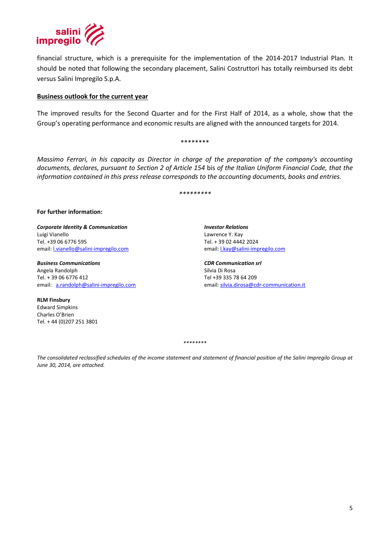

financial structure, which is a prerequisite for the implementation of the 2014-2017 Industrial Plan. It should be noted that following the secondary placement, Salini Costruttori has totally reimbursed its debt versus Salini Impregilo S.p.A.

#### **Business outlook for the current year**

The improved results for the Second Quarter and for the First Half of 2014, as a whole, show that the Group's operating performance and economic results are aligned with the announced targets for 2014.

\*\*\*\*\*\*\*\*

*Massimo Ferrari, in his capacity as Director in charge of the preparation of the company's accounting documents, declares, pursuant to Section 2 of Article 154* bis *of the Italian Uniform Financial Code, that the information contained in this press release corresponds to the accounting documents, books and entries.*

*\*\*\*\*\*\*\*\*\**

#### **For further information:**

**Corporate Identity & Communication Investor Relations** Luigi Vianello Lawrence Y. Kay Tel. +39 06 6776 595 Tel. + 39 02 4442 2024 email[: l.vianello@salini-impregilo.com](mailto:l.vianello@salini-impregilo.com)

*Business Communications CDR Communication srl* Angela Randolph Silvia Di Rosa Tel. + 39 06 6776 412 Tel +39 335 78 64 209

**RLM Finsbury** Edward Simpkins Charles O'Brien Tel. + 44 (0)207 251 3801

email: [a.randolph@salini-impregilo.com](mailto:a.randolph@salini-impregilo.com) email[: silvia.dirosa@cdr-communication.it](mailto:silvia.dirosa@cdr-communication.it)

*\*\*\*\*\*\*\*\**

*The consolidated reclassified schedules of the income statement and statement of financial position of the Salini Impregilo Group at June 30, 2014, are attached.*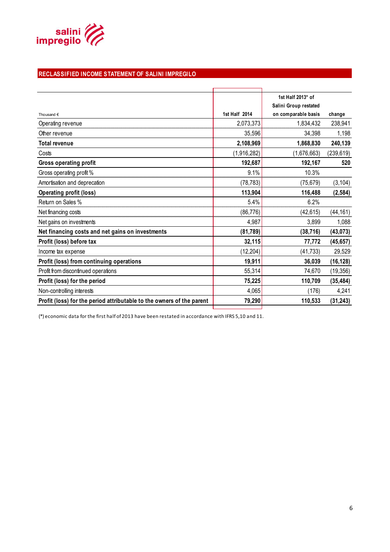

# **RECLASSIFIED INCOME STATEMENT OF SALINI IMPREGILO**

|                                                                       |               | 1st Half 2013* of     |            |
|-----------------------------------------------------------------------|---------------|-----------------------|------------|
|                                                                       |               | Salini Group restated |            |
| Thousand $\epsilon$                                                   | 1st Half 2014 | on comparable basis   | change     |
| Operating revenue                                                     | 2,073,373     | 1,834,432             | 238,941    |
| Other revenue                                                         | 35,596        | 34,398                | 1,198      |
| <b>Total revenue</b>                                                  | 2,108,969     | 1,868,830             | 240,139    |
| Costs                                                                 | (1,916,282)   | (1,676,663)           | (239, 619) |
| <b>Gross operating profit</b>                                         | 192,687       | 192,167               | 520        |
| Gross operating profit %                                              | 9.1%          | 10.3%                 |            |
| Amortisation and deprecation                                          | (78, 783)     | (75, 679)             | (3, 104)   |
| <b>Operating profit (loss)</b>                                        | 113,904       | 116,488               | (2, 584)   |
| Return on Sales %                                                     | 5.4%          | 6.2%                  |            |
| Net financing costs                                                   | (86, 776)     | (42, 615)             | (44, 161)  |
| Net gains on investments                                              | 4,987         | 3,899                 | 1,088      |
| Net financing costs and net gains on investments                      | (81, 789)     | (38, 716)             | (43, 073)  |
| Profit (loss) before tax                                              | 32,115        | 77,772                | (45, 657)  |
| Income tax expense                                                    | (12, 204)     | (41,733)              | 29,529     |
| Profit (loss) from continuing operations                              | 19,911        | 36,039                | (16, 128)  |
| Profit from discontinued operations                                   | 55,314        | 74,670                | (19, 356)  |
| Profit (loss) for the period                                          | 75,225        | 110,709               | (35, 484)  |
| Non-controlling interests                                             | 4,065         | (176)                 | 4,241      |
| Profit (loss) for the period attributable to the owners of the parent | 79,290        | 110,533               | (31, 243)  |
|                                                                       |               |                       |            |

(\*) economic data for the first half of 2013 have been restated in accordance with IFRS 5,10 and 11.